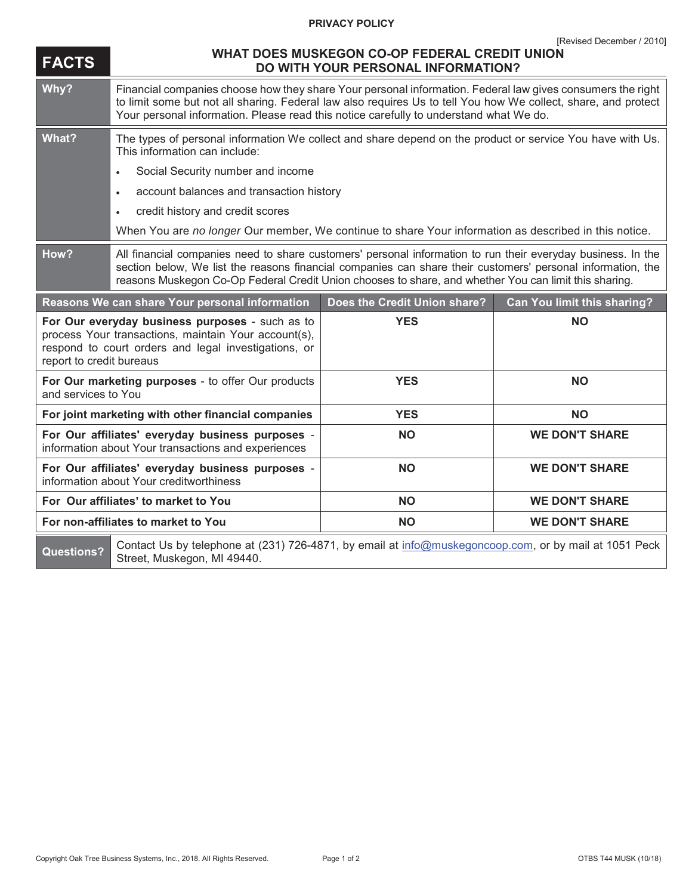## **PRIVACY POLICY**

| <b>FACTS</b>                                                                                                                                                                                | WHAT DOES MUSKEGON CO-OP FEDERAL CREDIT UNION<br><b>DO WITH YOUR PERSONAL INFORMATION?</b>                                                                                                                                                                                                                                           |                              |                                    |
|---------------------------------------------------------------------------------------------------------------------------------------------------------------------------------------------|--------------------------------------------------------------------------------------------------------------------------------------------------------------------------------------------------------------------------------------------------------------------------------------------------------------------------------------|------------------------------|------------------------------------|
| Why?                                                                                                                                                                                        | Financial companies choose how they share Your personal information. Federal law gives consumers the right<br>to limit some but not all sharing. Federal law also requires Us to tell You how We collect, share, and protect<br>Your personal information. Please read this notice carefully to understand what We do.               |                              |                                    |
| What?                                                                                                                                                                                       | The types of personal information We collect and share depend on the product or service You have with Us.<br>This information can include:                                                                                                                                                                                           |                              |                                    |
|                                                                                                                                                                                             | Social Security number and income<br>$\bullet$                                                                                                                                                                                                                                                                                       |                              |                                    |
|                                                                                                                                                                                             | account balances and transaction history<br>$\bullet$                                                                                                                                                                                                                                                                                |                              |                                    |
|                                                                                                                                                                                             | credit history and credit scores<br>$\bullet$                                                                                                                                                                                                                                                                                        |                              |                                    |
|                                                                                                                                                                                             | When You are no longer Our member, We continue to share Your information as described in this notice.                                                                                                                                                                                                                                |                              |                                    |
| How?                                                                                                                                                                                        | All financial companies need to share customers' personal information to run their everyday business. In the<br>section below, We list the reasons financial companies can share their customers' personal information, the<br>reasons Muskegon Co-Op Federal Credit Union chooses to share, and whether You can limit this sharing. |                              |                                    |
| Reasons We can share Your personal information                                                                                                                                              |                                                                                                                                                                                                                                                                                                                                      | Does the Credit Union share? | <b>Can You limit this sharing?</b> |
| For Our everyday business purposes - such as to<br>process Your transactions, maintain Your account(s),<br>respond to court orders and legal investigations, or<br>report to credit bureaus |                                                                                                                                                                                                                                                                                                                                      | <b>YES</b>                   | <b>NO</b>                          |
| For Our marketing purposes - to offer Our products<br>and services to You                                                                                                                   |                                                                                                                                                                                                                                                                                                                                      | <b>YES</b>                   | <b>NO</b>                          |
| For joint marketing with other financial companies                                                                                                                                          |                                                                                                                                                                                                                                                                                                                                      | <b>YES</b>                   | <b>NO</b>                          |
| For Our affiliates' everyday business purposes -<br>information about Your transactions and experiences                                                                                     |                                                                                                                                                                                                                                                                                                                                      | <b>NO</b>                    | <b>WE DON'T SHARE</b>              |
| For Our affiliates' everyday business purposes -<br>information about Your creditworthiness                                                                                                 |                                                                                                                                                                                                                                                                                                                                      | <b>NO</b>                    | <b>WE DON'T SHARE</b>              |
| For Our affiliates' to market to You                                                                                                                                                        |                                                                                                                                                                                                                                                                                                                                      | <b>NO</b>                    | <b>WE DON'T SHARE</b>              |
| For non-affiliates to market to You                                                                                                                                                         |                                                                                                                                                                                                                                                                                                                                      | <b>NO</b>                    | <b>WE DON'T SHARE</b>              |
| <b>Questions?</b>                                                                                                                                                                           | Contact Us by telephone at (231) 726-4871, by email at info@muskegoncoop.com, or by mail at 1051 Peck<br>Street, Muskegon, MI 49440.                                                                                                                                                                                                 |                              |                                    |